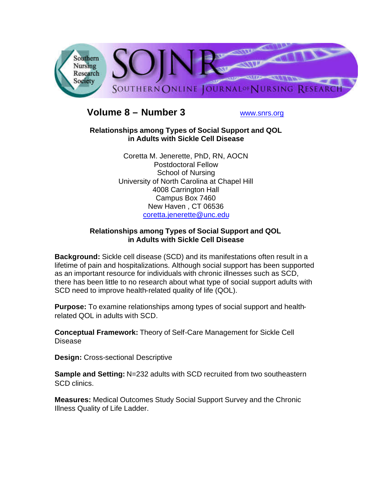

# **Volume 8 – Number 3** www.snrs.org

#### **Relationships among Types of Social Support and QOL in Adults with Sickle Cell Disease**

Coretta M. Jenerette, PhD, RN, AOCN Postdoctoral Fellow School of Nursing University of North Carolina at Chapel Hill 4008 Carrington Hall Campus Box 7460 New Haven , CT 06536 coretta.jenerette@unc.edu

### **Relationships among Types of Social Support and QOL in Adults with Sickle Cell Disease**

**Background:** Sickle cell disease (SCD) and its manifestations often result in a lifetime of pain and hospitalizations. Although social support has been supported as an important resource for individuals with chronic illnesses such as SCD, there has been little to no research about what type of social support adults with SCD need to improve health-related quality of life (QOL).

**Purpose:** To examine relationships among types of social support and healthrelated QOL in adults with SCD.

**Conceptual Framework:** Theory of Self-Care Management for Sickle Cell Disease

**Design:** Cross-sectional Descriptive

**Sample and Setting: N=232 adults with SCD recruited from two southeastern** SCD clinics.

**Measures:** Medical Outcomes Study Social Support Survey and the Chronic Illness Quality of Life Ladder.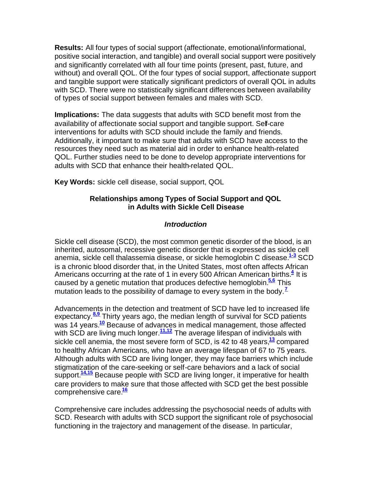**Results:** All four types of social support (affectionate, emotional/informational, positive social interaction, and tangible) and overall social support were positively and significantly correlated with all four time points (present, past, future, and without) and overall QOL. Of the four types of social support, affectionate support and tangible support were statically significant predictors of overall QOL in adults with SCD. There were no statistically significant differences between availability of types of social support between females and males with SCD.

**Implications:** The data suggests that adults with SCD benefit most from the availability of affectionate social support and tangible support. Self-care interventions for adults with SCD should include the family and friends. Additionally, it important to make sure that adults with SCD have access to the resources they need such as material aid in order to enhance health-related QOL. Further studies need to be done to develop appropriate interventions for adults with SCD that enhance their health-related QOL.

**Key Words:** sickle cell disease, social support, QOL

### **Relationships among Types of Social Support and QOL in Adults with Sickle Cell Disease**

### *Introduction*

Sickle cell disease (SCD), the most common genetic disorder of the blood, is an inherited, autosomal, recessive genetic disorder that is expressed as sickle cell anemia, sickle cell thalassemia disease, or sickle hemoglobin C disease.**1-3** SCD is a chronic blood disorder that, in the United States, most often affects African Americans occurring at the rate of 1 in every 500 African American births.<sup>4</sup> It is caused by a genetic mutation that produces defective hemoglobin.**5,6** This mutation leads to the possibility of damage to every system in the body.**<sup>7</sup>**

Advancements in the detection and treatment of SCD have led to increased life expectancy.**8,9** Thirty years ago, the median length of survival for SCD patients was 14 years.**<sup>10</sup>** Because of advances in medical management, those affected with SCD are living much longer.<sup>11,12</sup> The average lifespan of individuals with sickle cell anemia, the most severe form of SCD, is 42 to 48 years,**<sup>13</sup>** compared to healthy African Americans, who have an average lifespan of 67 to 75 years. Although adults with SCD are living longer, they may face barriers which include stigmatization of the care-seeking or self-care behaviors and a lack of social support.<sup>14,15</sup> Because people with SCD are living longer, it imperative for health care providers to make sure that those affected with SCD get the best possible comprehensive care.**<sup>16</sup>**

Comprehensive care includes addressing the psychosocial needs of adults with SCD. Research with adults with SCD support the significant role of psychosocial functioning in the trajectory and management of the disease. In particular,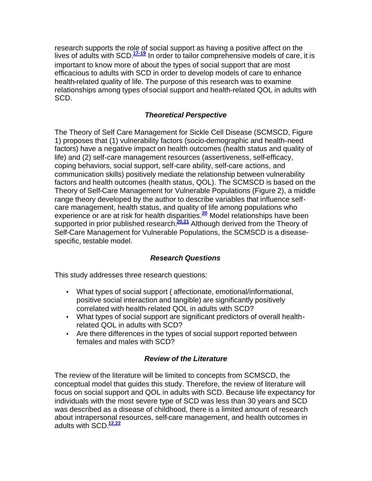research supports the role of social support as having a positive affect on the lives of adults with SCD.**17-19** In order to tailor comprehensive models of care, it is important to know more of about the types of social support that are most efficacious to adults with SCD in order to develop models of care to enhance health-related quality of life. The purpose of this research was to examine relationships among types of social support and health-related QOL in adults with SCD.

### *Theoretical Perspective*

The Theory of Self Care Management for Sickle Cell Disease (SCMSCD, Figure 1) proposes that (1) vulnerability factors (socio-demographic and health-need factors) have a negative impact on health outcomes (health status and quality of life) and (2) self-care management resources (assertiveness, self-efficacy, coping behaviors, social support, self-care ability, self-care actions, and communication skills) positively mediate the relationship between vulnerability factors and health outcomes (health status, QOL). The SCMSCD is based on the Theory of Self-Care Management for Vulnerable Populations (Figure 2), a middle range theory developed by the author to describe variables that influence selfcare management, health status, and quality of life among populations who experience or are at risk for health disparities.**<sup>20</sup>** Model relationships have been supported in prior published research.**20,21** Although derived from the Theory of Self-Care Management for Vulnerable Populations, the SCMSCD is a diseasespecific, testable model.

### *Research Questions*

This study addresses three research questions:

- What types of social support ( affectionate, emotional/informational, positive social interaction and tangible) are significantly positively correlated with health-related QOL in adults with SCD?
- What types of social support are significant predictors of overall healthrelated QOL in adults with SCD?
- Are there differences in the types of social support reported between females and males with SCD?

#### *Review of the Literature*

The review of the literature will be limited to concepts from SCMSCD, the conceptual model that guides this study. Therefore, the review of literature will focus on social support and QOL in adults with SCD. Because life expectancy for individuals with the most severe type of SCD was less than 30 years and SCD was described as a disease of childhood, there is a limited amount of research about intrapersonal resources, self-care management, and health outcomes in adults with SCD.**12,22**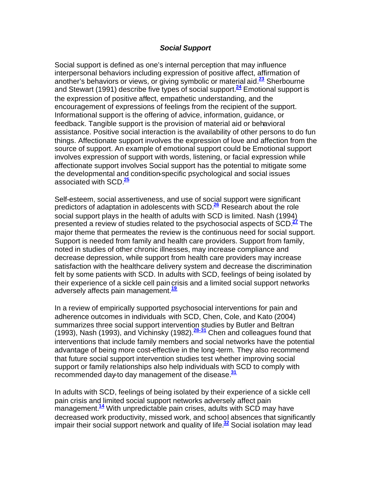#### *Social Support*

Social support is defined as one's internal perception that may influence interpersonal behaviors including expression of positive affect, affirmation of another's behaviors or views, or giving symbolic or material aid.**<sup>23</sup>** Sherbourne and Stewart (1991) describe five types of social support.**<sup>24</sup>** Emotional support is the expression of positive affect, empathetic understanding, and the encouragement of expressions of feelings from the recipient of the support. Informational support is the offering of advice, information, guidance, or feedback. Tangible support is the provision of material aid or behavioral assistance. Positive social interaction is the availability of other persons to do fun things. Affectionate support involves the expression of love and affection from the source of support. An example of emotional support could be Emotional support involves expression of support with words, listening, or facial expression while affectionate support involves Social support has the potential to mitigate some the developmental and condition-specific psychological and social issues associated with SCD.**<sup>25</sup>**

Self-esteem, social assertiveness, and use of social support were significant predictors of adaptation in adolescents with SCD.**<sup>26</sup>** Research about the role social support plays in the health of adults with SCD is limited. Nash (1994) presented a review of studies related to the psychosocial aspects of SCD.**<sup>27</sup>** The major theme that permeates the review is the continuous need for social support. Support is needed from family and health care providers. Support from family, noted in studies of other chronic illnesses, may increase compliance and decrease depression, while support from health care providers may increase satisfaction with the healthcare delivery system and decrease the discrimination felt by some patients with SCD. In adults with SCD, feelings of being isolated by their experience of a sickle cell paincrisis and a limited social support networks adversely affects pain management.**<sup>19</sup>**

In a review of empirically supported psychosocial interventions for pain and adherence outcomes in individuals with SCD, Chen, Cole, and Kato (2004) summarizes three social support intervention studies by Butler and Beltran (1993), Nash (1993), and Vichinsky (1982).**28-31** Chen and colleagues found that interventions that include family members and social networks have the potential advantage of being more cost-effective in the long-term. They also recommend that future social support intervention studies test whether improving social support or family relationships also help individuals with SCD to comply with recommended day-to day management of the disease.**<sup>31</sup>**

In adults with SCD, feelings of being isolated by their experience of a sickle cell pain crisis and limited social support networks adversely affect pain management.**<sup>14</sup>** With unpredictable pain crises, adults with SCD may have decreased work productivity, missed work, and school absences that significantly impair their social support network and quality of life.**<sup>32</sup>** Social isolation may lead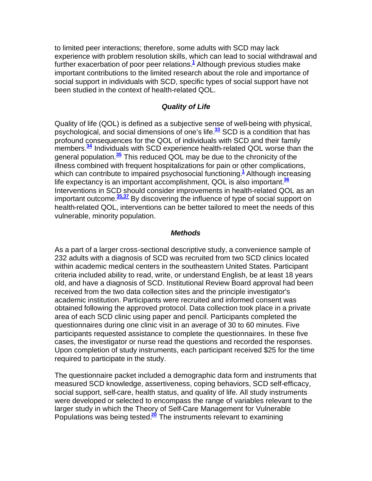to limited peer interactions; therefore, some adults with SCD may lack experience with problem resolution skills, which can lead to social withdrawal and further exacerbation of poor peer relations.**<sup>1</sup>** Although previous studies make important contributions to the limited research about the role and importance of social support in individuals with SCD, specific types of social support have not been studied in the context of health-related QOL.

#### *Quality of Life*

Quality of life (QOL) is defined as a subjective sense of well-being with physical, psychological, and social dimensions of one's life.**<sup>33</sup>** SCD is a condition that has profound consequences for the QOL of individuals with SCD and their family members.**<sup>34</sup>** Individuals with SCD experience health-related QOL worse than the general population.**<sup>35</sup>** This reduced QOL may be due to the chronicity of the illness combined with frequent hospitalizations for pain or other complications, which can contribute to impaired psychosocial functioning.**<sup>1</sup>** Although increasing life expectancy is an important accomplishment, QOL is also important.**<sup>36</sup>** Interventions in SCD should consider improvements in health-related QOL as an important outcome.**35,37** By discovering the influence of type of social support on health-related QOL, interventions can be better tailored to meet the needs of this vulnerable, minority population.

#### *Methods*

As a part of a larger cross-sectional descriptive study, a convenience sample of 232 adults with a diagnosis of SCD was recruited from two SCD clinics located within academic medical centers in the southeastern United States. Participant criteria included ability to read, write, or understand English, be at least 18 years old, and have a diagnosis of SCD. Institutional Review Board approval had been received from the two data collection sites and the principle investigator's academic institution. Participants were recruited and informed consent was obtained following the approved protocol. Data collection took place in a private area of each SCD clinic using paper and pencil. Participants completed the questionnaires during one clinic visit in an average of 30 to 60 minutes. Five participants requested assistance to complete the questionnaires. In these five cases, the investigator or nurse read the questions and recorded the responses. Upon completion of study instruments, each participant received \$25 for the time required to participate in the study.

The questionnaire packet included a demographic data form and instruments that measured SCD knowledge, assertiveness, coping behaviors, SCD self-efficacy, social support, self-care, health status, and quality of life. All study instruments were developed or selected to encompass the range of variables relevant to the larger study in which the Theory of Self-Care Management for Vulnerable Populations was being tested.**<sup>20</sup>** The instruments relevant to examining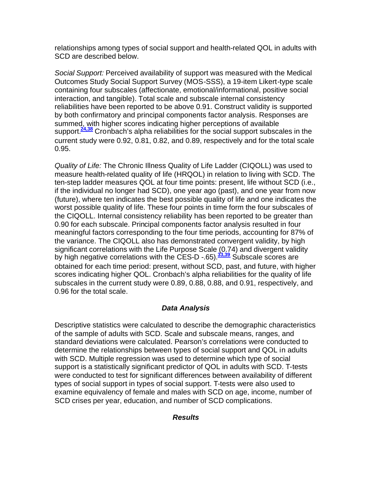relationships among types of social support and health-related QOL in adults with SCD are described below.

*Social Support:* Perceived availability of support was measured with the Medical Outcomes Study Social Support Survey (MOS-SSS), a 19-item Likert-type scale containing four subscales (affectionate, emotional/informational, positive social interaction, and tangible). Total scale and subscale internal consistency reliabilities have been reported to be above 0.91. Construct validity is supported by both confirmatory and principal components factor analysis. Responses are summed, with higher scores indicating higher perceptions of available support.**24,38** Cronbach's alpha reliabilities for the social support subscales in the current study were 0.92, 0.81, 0.82, and 0.89, respectively and for the total scale 0.95.

*Quality of Life:* The Chronic Illness Quality of Life Ladder (CIQOLL) was used to measure health-related quality of life (HRQOL) in relation to living with SCD. The ten-step ladder measures QOL at four time points: present, life without SCD (i.e., if the individual no longer had SCD), one year ago (past), and one year from now (future), where ten indicates the best possible quality of life and one indicates the worst possible quality of life. These four points in time form the four subscales of the CIQOLL. Internal consistency reliability has been reported to be greater than 0.90 for each subscale. Principal components factor analysis resulted in four meaningful factors corresponding to the four time periods, accounting for 87% of the variance. The CIQOLL also has demonstrated convergent validity, by high significant correlations with the Life Purpose Scale (0.74) and divergent validity by high negative correlations with the CES-D -.65).**33,39** Subscale scores are obtained for each time period: present, without SCD, past, and future, with higher scores indicating higher QOL. Cronbach's alpha reliabilities for the quality of life subscales in the current study were 0.89, 0.88, 0.88, and 0.91, respectively, and 0.96 for the total scale.

### *Data Analysis*

Descriptive statistics were calculated to describe the demographic characteristics of the sample of adults with SCD. Scale and subscale means, ranges, and standard deviations were calculated. Pearson's correlations were conducted to determine the relationships between types of social support and QOL in adults with SCD. Multiple regression was used to determine which type of social support is a statistically significant predictor of QOL in adults with SCD. T-tests were conducted to test for significant differences between availability of different types of social support in types of social support. T-tests were also used to examine equivalency of female and males with SCD on age, income, number of SCD crises per year, education, and number of SCD complications.

#### *Results*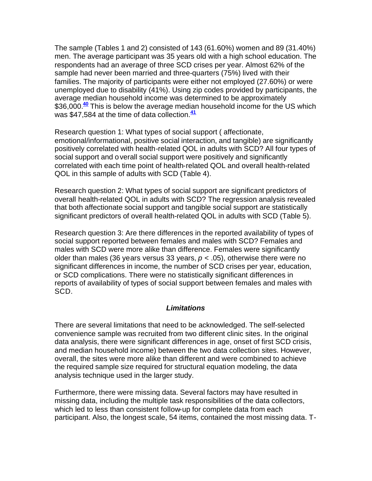The sample (Tables 1 and 2) consisted of 143 (61.60%) women and 89 (31.40%) men. The average participant was 35 years old with a high school education. The respondents had an average of three SCD crises per year. Almost 62% of the sample had never been married and three-quarters (75%) lived with their families. The majority of participants were either not employed (27.60%) or were unemployed due to disability (41%). Using zip codes provided by participants, the average median household income was determined to be approximately \$36,000.**<sup>40</sup>** This is below the average median household income for the US which was \$47,584 at the time of data collection.**<sup>41</sup>**

Research question 1: What types of social support ( affectionate, emotional/informational, positive social interaction, and tangible) are significantly positively correlated with health-related QOL in adults with SCD? All four types of social support and overall social support were positively and significantly correlated with each time point of health-related QOL and overall health-related QOL in this sample of adults with SCD (Table 4).

Research question 2: What types of social support are significant predictors of overall health-related QOL in adults with SCD? The regression analysis revealed that both affectionate social support and tangible social support are statistically significant predictors of overall health-related QOL in adults with SCD (Table 5).

Research question 3: Are there differences in the reported availability of types of social support reported between females and males with SCD? Females and males with SCD were more alike than difference. Females were significantly older than males (36 years versus 33 years, *p* < .05), otherwise there were no significant differences in income, the number of SCD crises per year, education, or SCD complications. There were no statistically significant differences in reports of availability of types of social support between females and males with SCD.

#### *Limitations*

There are several limitations that need to be acknowledged. The self-selected convenience sample was recruited from two different clinic sites. In the original data analysis, there were significant differences in age, onset of first SCD crisis, and median household income) between the two data collection sites. However, overall, the sites were more alike than different and were combined to achieve the required sample size required for structural equation modeling, the data analysis technique used in the larger study.

Furthermore, there were missing data. Several factors may have resulted in missing data, including the multiple task responsibilities of the data collectors, which led to less than consistent follow-up for complete data from each participant. Also, the longest scale, 54 items, contained the most missing data. T-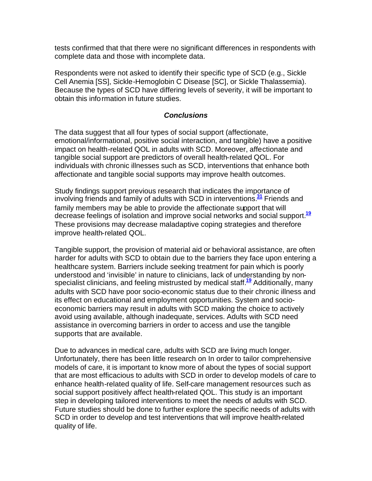tests confirmed that that there were no significant differences in respondents with complete data and those with incomplete data.

Respondents were not asked to identify their specific type of SCD (e.g., Sickle Cell Anemia [SS], Sickle-Hemoglobin C Disease [SC], or Sickle Thalassemia). Because the types of SCD have differing levels of severity, it will be important to obtain this information in future studies.

#### *Conclusions*

The data suggest that all four types of social support (affectionate, emotional/informational, positive social interaction, and tangible) have a positive impact on health-related QOL in adults with SCD. Moreover, affectionate and tangible social support are predictors of overall health-related QOL. For individuals with chronic illnesses such as SCD, interventions that enhance both affectionate and tangible social supports may improve health outcomes.

Study findings support previous research that indicates the importance of involving friends and family of adults with SCD in interventions.**<sup>31</sup>** Friends and family members may be able to provide the affectionate support that will decrease feelings of isolation and improve social networks and social support.**<sup>19</sup>** These provisions may decrease maladaptive coping strategies and therefore improve health-related QOL.

Tangible support, the provision of material aid or behavioral assistance, are often harder for adults with SCD to obtain due to the barriers they face upon entering a healthcare system. Barriers include seeking treatment for pain which is poorly understood and 'invisible' in nature to clinicians, lack of understanding by nonspecialist clinicians, and feeling mistrusted by medical staff.**<sup>19</sup>** Additionally, many adults with SCD have poor socio-economic status due to their chronic illness and its effect on educational and employment opportunities. System and socioeconomic barriers may result in adults with SCD making the choice to actively avoid using available, although inadequate, services. Adults with SCD need assistance in overcoming barriers in order to access and use the tangible supports that are available.

Due to advances in medical care, adults with SCD are living much longer. Unfortunately, there has been little research on In order to tailor comprehensive models of care, it is important to know more of about the types of social support that are most efficacious to adults with SCD in order to develop models of care to enhance health-related quality of life. Self-care management resources such as social support positively affect health-related QOL. This study is an important step in developing tailored interventions to meet the needs of adults with SCD. Future studies should be done to further explore the specific needs of adults with SCD in order to develop and test interventions that will improve health-related quality of life.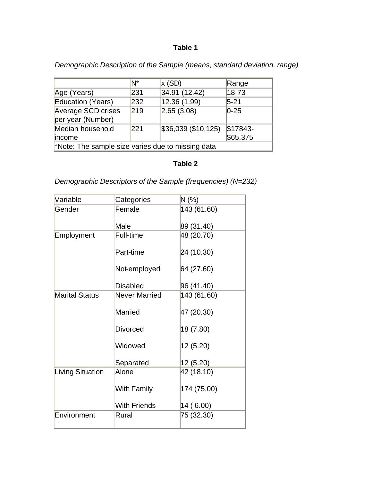### **Table 1**

*Demographic Description of the Sample (means, standard deviation, range)*

|                                                   | N*  | x(SD)              | Range     |  |
|---------------------------------------------------|-----|--------------------|-----------|--|
| Age (Years)                                       | 231 | 34.91 (12.42)      | 18-73     |  |
| <b>Education (Years)</b>                          | 232 | 12.36 (1.99)       | $5 - 21$  |  |
| Average SCD crises                                | 219 | 2.65(3.08)         | $ 0-25 $  |  |
| per year (Number)                                 |     |                    |           |  |
| Median household                                  | 221 | \$36,039(\$10,125) | $$17843-$ |  |
| income                                            |     |                    | \$65,375  |  |
| *Note: The sample size varies due to missing data |     |                    |           |  |

### **Table 2**

*Demographic Descriptors of the Sample (frequencies) (N=232)* 

| Variable                | Categories          | $N$ (%)     |
|-------------------------|---------------------|-------------|
| Gender                  | Female              | 143 (61.60) |
|                         | Male                | 89 (31.40)  |
| Employment              | Full-time           | 48 (20.70)  |
|                         | Part-time           | 24 (10.30)  |
|                         | Not-employed        | 64 (27.60)  |
|                         | Disabled            | 96 (41.40)  |
| <b>Marital Status</b>   | Never Married       | 143 (61.60) |
|                         | Married             | 47 (20.30)  |
|                         | <b>Divorced</b>     | 18 (7.80)   |
|                         | Widowed             | 12 (5.20)   |
|                         | Separated           | 12 (5.20)   |
| <b>Living Situation</b> | Alone               | 42 (18.10)  |
|                         | <b>With Family</b>  | 174 (75.00) |
|                         | <b>With Friends</b> | 14 (6.00)   |
| Environment             | Rural               | 75 (32.30)  |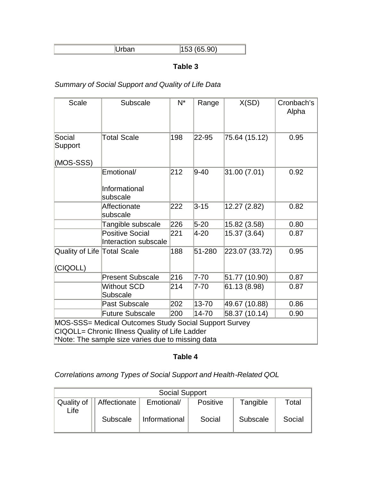| $ -$ |
|------|
|      |

### **Table 3**

# *Summary of Social Support and Quality of Life Data*

| <b>Scale</b>                                                                                                                                                 | Subscale                                       | $N^*$ | Range    | X(SD)          | Cronbach's<br>Alpha |
|--------------------------------------------------------------------------------------------------------------------------------------------------------------|------------------------------------------------|-------|----------|----------------|---------------------|
| Social<br>Support                                                                                                                                            | <b>Total Scale</b>                             | 198   | 22-95    | 75.64 (15.12)  | 0.95                |
| (MOS-SSS)                                                                                                                                                    |                                                |       |          |                |                     |
|                                                                                                                                                              | Emotional/<br>Informational<br>subscale        | 212   | $9 - 40$ | 31.00 (7.01)   | 0.92                |
|                                                                                                                                                              | Affectionate<br>subscale                       | 222   | $3 - 15$ | 12.27 (2.82)   | 0.82                |
|                                                                                                                                                              | Tangible subscale                              | 226   | $5 - 20$ | 15.82 (3.58)   | 0.80                |
|                                                                                                                                                              | <b>Positive Social</b><br>Interaction subscale | 221   | 4-20     | 15.37 (3.64)   | 0.87                |
| Quality of Life Total Scale<br>(CIQOLL)                                                                                                                      |                                                | 188   | 51-280   | 223.07 (33.72) | 0.95                |
|                                                                                                                                                              | <b>Present Subscale</b>                        | 216   | $7 - 70$ | 51.77 (10.90)  | 0.87                |
|                                                                                                                                                              | <b>Without SCD</b><br>Subscale                 | 214   | 7-70     | 61.13 (8.98)   | 0.87                |
|                                                                                                                                                              | <b>Past Subscale</b>                           | 202   | 13-70    | 49.67 (10.88)  | 0.86                |
|                                                                                                                                                              | <b>Future Subscale</b>                         | 200   | 14-70    | 58.37 (10.14)  | 0.90                |
| MOS-SSS= Medical Outcomes Study Social Support Survey<br>CIQOLL= Chronic Illness Quality of Life Ladder<br>*Note: The sample size varies due to missing data |                                                |       |          |                |                     |

# **Table 4**

*Correlations among Types of Social Support and Health-Related QOL*

| <b>Social Support</b> |                           |               |          |          |        |
|-----------------------|---------------------------|---------------|----------|----------|--------|
|                       | Quality of   Affectionate | Emotional/    | Positive | Tangible | Total  |
| Life                  | Subscale                  | Informational | Social   | Subscale | Social |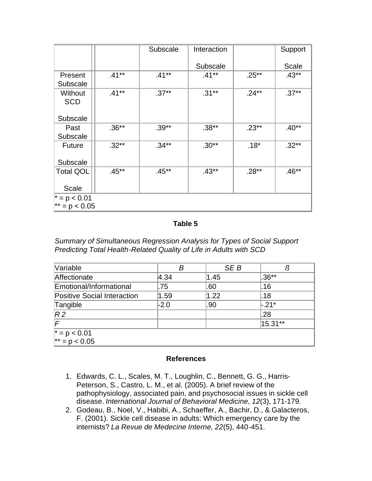|                                        |          | Subscale | Interaction |          | Support |
|----------------------------------------|----------|----------|-------------|----------|---------|
|                                        |          |          | Subscale    |          | Scale   |
| Present<br>Subscale                    | $.41**$  | $.41***$ | $.41**$     | $.25**$  | $.43**$ |
| Without<br><b>SCD</b><br>Subscale      | $.41***$ | $.37**$  | $.31***$    | $.24***$ | $.37**$ |
| Past<br>Subscale                       | $.36**$  | $.39**$  | $.38**$     | $.23**$  | $.40**$ |
| <b>Future</b><br>Subscale              | $.32**$  | $.34**$  | $.30**$     | $.18*$   | $.32**$ |
| <b>Total QOL</b><br><b>Scale</b>       | $.45**$  | $.45**$  | $.43**$     | $.28**$  | $.46**$ |
| $\vert^* = p < 0.01$<br>$* = p < 0.05$ |          |          |             |          |         |

### **Table 5**

*Summary of Simultaneous Regression Analysis for Types of Social Support Predicting Total Health-Related Quality of Life in Adults with SCD* 

| Variable                           | В      | SE <sub>B</sub> | IJ        |
|------------------------------------|--------|-----------------|-----------|
| Affectionate                       | 4.34   | 1.45            | $.36**$   |
| Emotional/Informational            | .75    | .60             | .16       |
| <b>Positive Social Interaction</b> | 1.59   | 1.22            | .18       |
| Tangible                           | $-2.0$ | .90             | $-.21*$   |
| R <sub>2</sub>                     |        |                 | .28       |
| $\mathsf{F}$                       |        |                 | $15.31**$ |
| $* = p < 0.01$<br>$* = p < 0.05$   |        |                 |           |
|                                    |        |                 |           |

#### **References**

- 1. Edwards, C. L., Scales, M. T., Loughlin, C., Bennett, G. G., Harris-Peterson, S., Castro, L. M., et al. (2005). A brief review of the pathophysiology, associated pain, and psychosocial issues in sickle cell disease. *International Journal of Behavioral Medicine, 12*(3), 171-179.
- 2. Godeau, B., Noel, V., Habibi, A., Schaeffer, A., Bachir, D., & Galacteros, F. (2001). Sickle cell disease in adults: Which emergency care by the internists? *La Revue de Medecine Interne, 22*(5), 440-451.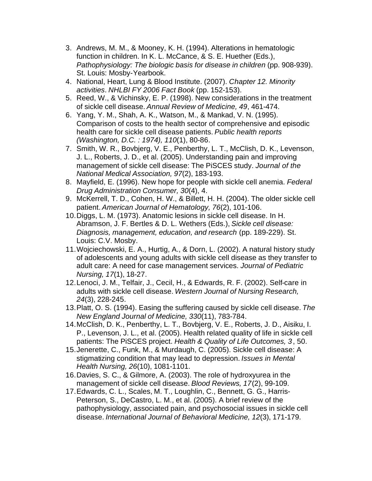- 3. Andrews, M. M., & Mooney, K. H. (1994). Alterations in hematologic function in children. In K. L. McCance, & S. E. Huether (Eds.), *Pathophysiology: The biologic basis for disease in children* (pp. 908-939). St. Louis: Mosby-Yearbook.
- 4. National, Heart, Lung & Blood Institute. (2007). *Chapter 12. Minority activities*. *NHLBI FY 2006 Fact Book* (pp. 152-153).
- 5. Reed, W., & Vichinsky, E. P. (1998). New considerations in the treatment of sickle cell disease. *Annual Review of Medicine, 49*, 461-474.
- 6. Yang, Y. M., Shah, A. K., Watson, M., & Mankad, V. N. (1995). Comparison of costs to the health sector of comprehensive and episodic health care for sickle cell disease patients. *Public health reports (Washington, D.C. : 1974), 110*(1), 80-86.
- 7. Smith, W. R., Bovbjerg, V. E., Penberthy, L. T., McClish, D. K., Levenson, J. L., Roberts, J. D., et al. (2005). Understanding pain and improving management of sickle cell disease: The PiSCES study. *Journal of the National Medical Association, 97*(2), 183-193.
- 8. Mayfield, E. (1996). New hope for people with sickle cell anemia. *Federal Drug Administration Consumer, 30*(4), 4.
- 9. McKerrell, T. D., Cohen, H. W., & Billett, H. H. (2004). The older sickle cell patient. *American Journal of Hematology, 76*(2), 101-106.
- 10.Diggs, L. M. (1973). Anatomic lesions in sickle cell disease. In H. Abramson, J. F. Bertles & D. L. Wethers (Eds.), *Sickle cell disease: Diagnosis, management, education, and research* (pp. 189-229). St. Louis: C.V. Mosby.
- 11.Wojciechowski, E. A., Hurtig, A., & Dorn, L. (2002). A natural history study of adolescents and young adults with sickle cell disease as they transfer to adult care: A need for case management services. *Journal of Pediatric Nursing, 17*(1), 18-27.
- 12.Lenoci, J. M., Telfair, J., Cecil, H., & Edwards, R. F. (2002). Self-care in adults with sickle cell disease. *Western Journal of Nursing Research, 24*(3), 228-245.
- 13.Platt, O. S. (1994). Easing the suffering caused by sickle cell disease. *The New England Journal of Medicine, 330*(11), 783-784.
- 14.McClish, D. K., Penberthy, L. T., Bovbjerg, V. E., Roberts, J. D., Aisiku, I. P., Levenson, J. L., et al. (2005). Health related quality of life in sickle cell patients: The PiSCES project. *Health & Quality of Life Outcomes, 3*, 50.
- 15.Jenerette, C., Funk, M., & Murdaugh, C. (2005). Sickle cell disease: A stigmatizing condition that may lead to depression. *Issues in Mental Health Nursing, 26*(10), 1081-1101.
- 16.Davies, S. C., & Gilmore, A. (2003). The role of hydroxyurea in the management of sickle cell disease. *Blood Reviews, 17*(2), 99-109.
- 17.Edwards, C. L., Scales, M. T., Loughlin, C., Bennett, G. G., Harris-Peterson, S., DeCastro, L. M., et al. (2005). A brief review of the pathophysiology, associated pain, and psychosocial issues in sickle cell disease. *International Journal of Behavioral Medicine, 12*(3), 171-179.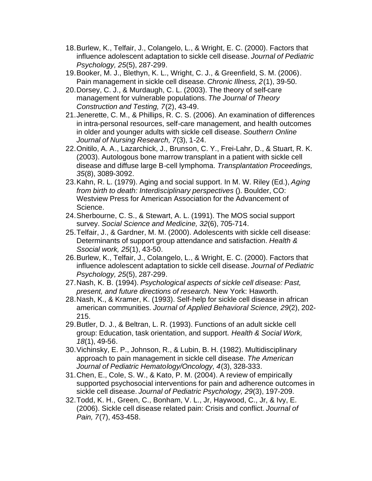- 18.Burlew, K., Telfair, J., Colangelo, L., & Wright, E. C. (2000). Factors that influence adolescent adaptation to sickle cell disease. *Journal of Pediatric Psychology, 25*(5), 287-299.
- 19.Booker, M. J., Blethyn, K. L., Wright, C. J., & Greenfield, S. M. (2006). Pain management in sickle cell disease. *Chronic Illness, 2*(1), 39-50.
- 20.Dorsey, C. J., & Murdaugh, C. L. (2003). The theory of self-care management for vulnerable populations. *The Journal of Theory Construction and Testing, 7*(2), 43-49.
- 21.Jenerette, C. M., & Phillips, R. C. S. (2006). An examination of differences in intra-personal resources, self-care management, and health outcomes in older and younger adults with sickle cell disease. *Southern Online Journal of Nursing Research, 7*(3), 1-24.
- 22.Onitilo, A. A., Lazarchick, J., Brunson, C. Y., Frei-Lahr, D., & Stuart, R. K. (2003). Autologous bone marrow transplant in a patient with sickle cell disease and diffuse large B-cell lymphoma. *Transplantation Proceedings, 35*(8), 3089-3092.
- 23.Kahn, R. L. (1979). Aging and social support. In M. W. Riley (Ed.), *Aging from birth to death: Interdisciplinary perspectives* (). Boulder, CO: Westview Press for American Association for the Advancement of Science.
- 24.Sherbourne, C. S., & Stewart, A. L. (1991). The MOS social support survey. *Social Science and Medicine, 32*(6), 705-714.
- 25.Telfair, J., & Gardner, M. M. (2000). Adolescents with sickle cell disease: Determinants of support group attendance and satisfaction. *Health & Ssocial work, 25*(1), 43-50.
- 26.Burlew, K., Telfair, J., Colangelo, L., & Wright, E. C. (2000). Factors that influence adolescent adaptation to sickle cell disease. *Journal of Pediatric Psychology, 25*(5), 287-299.
- 27.Nash, K. B. (1994). *Psychological aspects of sickle cell disease: Past, present, and future directions of research*. New York: Haworth.
- 28.Nash, K., & Kramer, K. (1993). Self-help for sickle cell disease in african american communities. *Journal of Applied Behavioral Science, 29*(2), 202- 215.
- 29.Butler, D. J., & Beltran, L. R. (1993). Functions of an adult sickle cell group: Education, task orientation, and support. *Health & Social Work, 18*(1), 49-56.
- 30.Vichinsky, E. P., Johnson, R., & Lubin, B. H. (1982). Multidisciplinary approach to pain management in sickle cell disease. *The American Journal of Pediatric Hematology/Oncology, 4*(3), 328-333.
- 31.Chen, E., Cole, S. W., & Kato, P. M. (2004). A review of empirically supported psychosocial interventions for pain and adherence outcomes in sickle cell disease. *Journal of Pediatric Psychology, 29*(3), 197-209.
- 32.Todd, K. H., Green, C., Bonham, V. L., Jr, Haywood, C., Jr, & Ivy, E. (2006). Sickle cell disease related pain: Crisis and conflict. *Journal of Pain, 7*(7), 453-458.